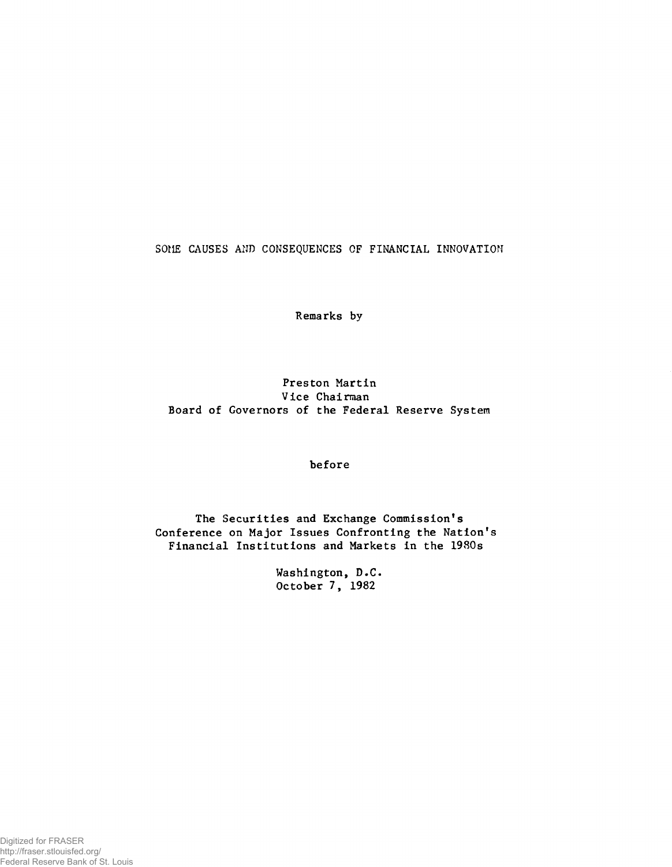SOME CAUSES AND CONSEQUENCES OF FINANCIAL INNOVATION

**Remarks by**

**Preston Martin Vice Chairman Board of Governors of the Federal Reserve System**

**before**

**The Securities and Exchange Commission's Conference on Major Issues Confronting the Nation's Financial Institutions and Markets in the 1980s**

> **Washington, D.C. October 7, 1982**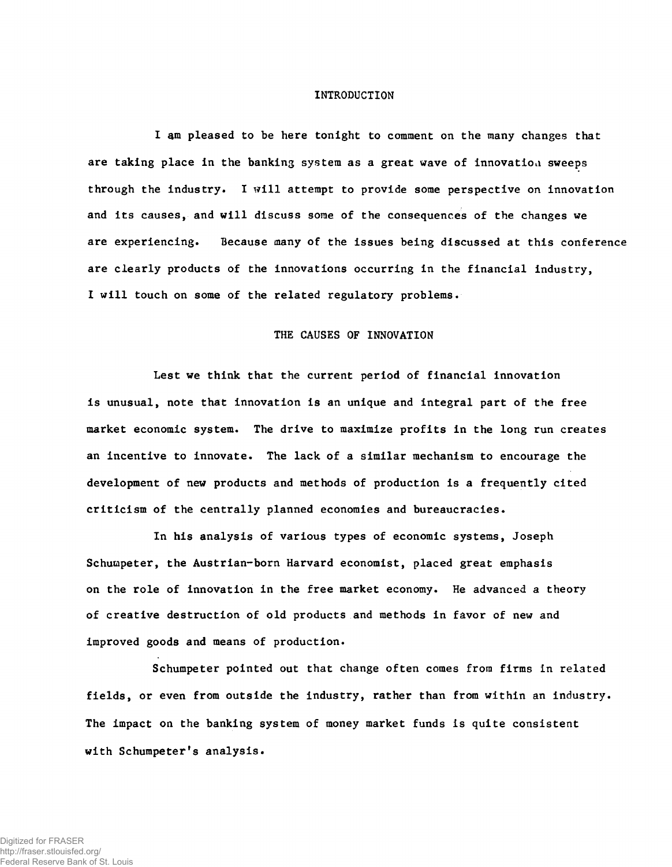#### **INTRODUCTION**

**I am pleased to be here tonight to comment on the many changes that are taking place in the banking system as a great wave of innovation sweeps through the industry. I will attempt to provide some perspective on innovation and its causes, and will discuss some of the consequences of the changes we are experiencing. Because many of the issues being discussed at this conference are clearly products of the innovations occurring in the financial industry, I will touch on some of the related regulatory problems.**

### **THE CAUSES OF INNOVATION**

**Lest we think that the current period of financial innovation** is unusual, note that innovation is an unique and integral part of the free **market economic system. The drive to maximize profits in the long run creates an incentive to innovate. The lack of a similar mechanism to encourage the development of new products and methods of production is a frequently cited criticism of the centrally planned economies and bureaucracies.**

**In his analysis of various types of economic systems, Joseph Schumpeter, the Austrian-born Harvard economist, placed great emphasis on the role of innovation in the free market economy. He advanced a theory of creative destruction of old products and methods in favor of new and improved goods and means of production.**

**Schumpeter pointed out that change often comes from firms in related fields, or even from outside the industry, rather than from within an industry. The impact on the banking system of money market funds is quite consistent with Schumpeter's analysis.**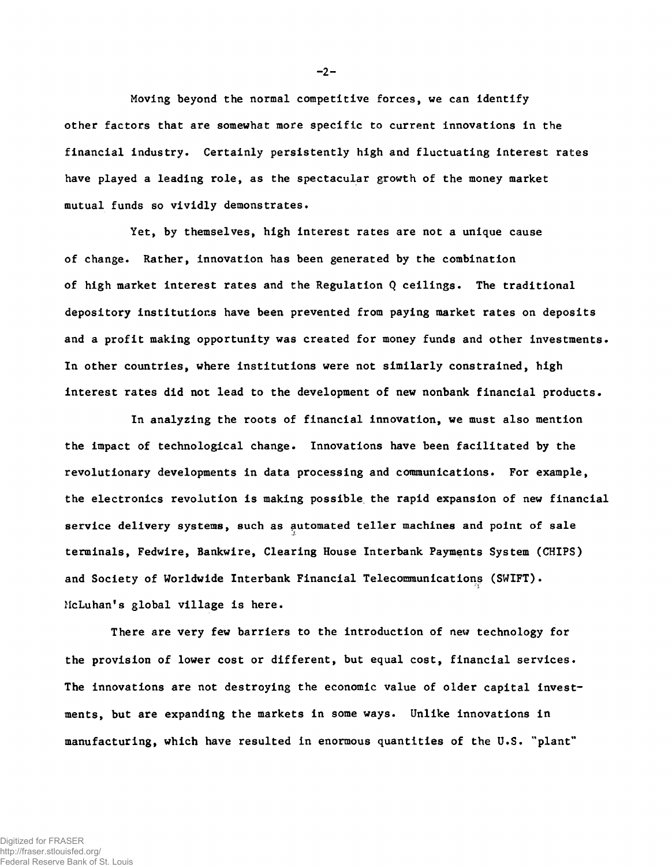**Moving beyond the normal competitive forces, we can identify other factors that are somewhat more specific to current innovations in the financial industry. Certainly persistently high and fluctuating interest rates have played a leading role, as the spectacular growth of the money market mutual funds so vividly demonstrates.**

**Yet, by themselves, high interest rates are not a unique cause of change. Rather, innovation has been generated by the combination of high market interest rates and the Regulation Q ceilings. The traditional depository institutions have been prevented from paying market rates on deposits and a profit making opportunity was created for money funds and other investments. In other countries, where institutions were not similarly constrained, high interest rates did not lead to the development of new nonbank financial products.**

**In analyzing the roots of financial innovation, we must also mention the impact of technological change. Innovations have been facilitated by the revolutionary developments in data processing and communications. For example, the electronics revolution is making possible, the rapid expansion of new financial service delivery systems, such as automated teller machines and point of sale terminals, Fedwire, Bankwire, Clearing House Interbank Payments System (CHIPS) and Society of Worldwide Interbank Financial Telecommunications (SWIFT). McLuhan's global village is here.**

**There are very few barriers to the introduction of new technology for the provision of lower cost or different, but equal cost, financial services. The innovations are not destroying the economic value of older capital investments, but are expanding the markets in some ways. Unlike innovations in manufacturing, which have resulted in enormous quantities of the U.S. "plant"**

 $-2-$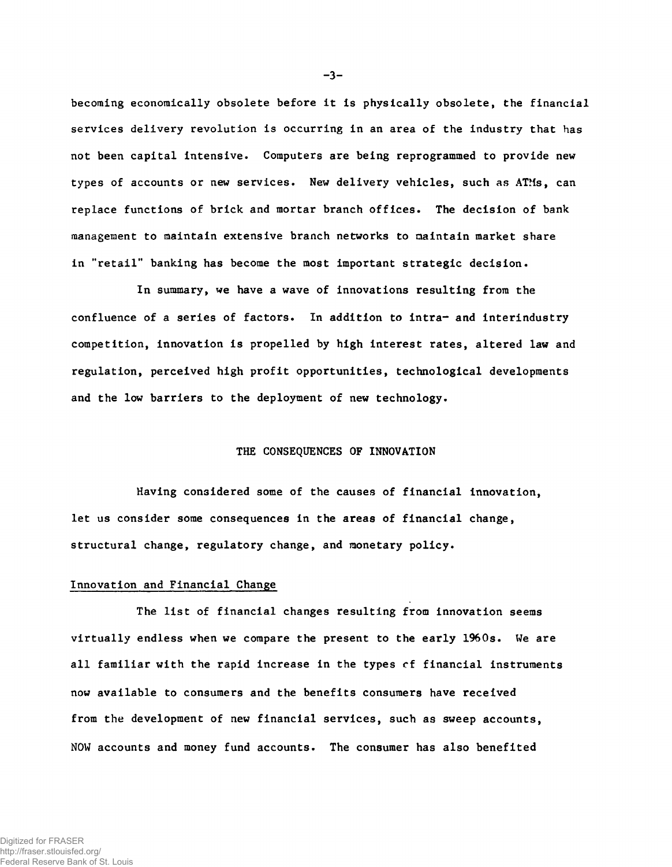**becoraing economically obsolete before it is physically obsolete, the financial services delivery revolution is occurring in an area of the industry that has not been capital intensive. Computers are being reprogrammed to provide new types of accounts or new services. New delivery vehicles, such as ATMs, can replace functions of brick and mortar branch offices. The decision of bank management to maintain extensive branch networks to maintain market share in "retail" banking has become the most important strategic decision.**

**In summary, we have a wave of innovations resulting from the confluence of a series of factors. In addition to intra- and interindustry competition, innovation is propelled by high interest rates, altered law and regulation, perceived high profit opportunities, technological developments and the low barriers to the deployment of new technology.**

## **THE CONSEQUENCES OF INNOVATION**

**Having considered some of the causes of financial Innovation, let us consider some consequences in the areas of financial change, structural change, regulatory change, and monetary policy.**

### **Innovation and Financial Change**

**The list of financial changes resulting from innovation seems virtually endless when we compare the present to the early 1960s. We are all familiar with the rapid increase in the types cf financial instruments now available to consumers and the benefits consumers have received from the development of new financial services, such as sweep accounts, NOW accounts and money fund accounts. The consumer has also benefited**

**- 3-**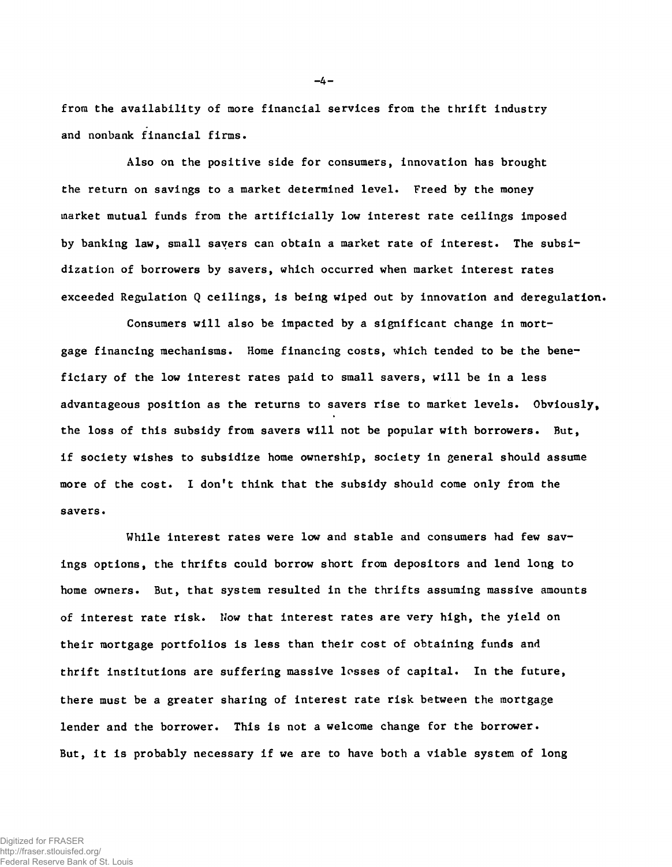from the availability of more financial services from the thrift industry **and nonbank financial firms.**

**Also on the positive side for consumers, innovation has brought the return on savings to a market determined level. Freed by the money market mutual funds from the artificially low interest rate ceilings imposed by banking law, small savers can obtain a market rate of interest. The subsidization of borrowers by savers, which occurred when market interest rates exceeded Regulation Q ceilings, is being wiped out by innovation and deregulation.**

**Consumers will also be impacted by a significant change in mortgage financing mechanisms. Home financing costs, which tended to be the beneficiary of the low interest rates paid to small savers, will be in a less advantageous position as the returns to savers rise to market levels. Obviously, the loss of this subsidy from savers will not be popular with borrowers. But, if society wishes to subsidize home ownership, society in general should assume more of the cost. I don't think that the subsidy should come only from the savers.**

**While interest rates were low and stable and consumers had few savings options, the thrifts could borrow short from depositors and lend long to home owners. But, that system resulted in the thrifts assuming massive amounts of interest rate risk. Now that interest rates are very high, the yield on their mortgage portfolios is less than their cost of obtaining funds and thrift institutions are suffering massive losses of capital. In the future, there must be a greater sharing of interest rate risk between the mortgage lender and the borrower. This is not a welcome change for the borrower. But, it is probably necessary if we are to have both a viable system of long**

Digitized for FRASER http://fraser.stlouisfed.org/ Federal Reserve Bank of St. Louis **- 4 -**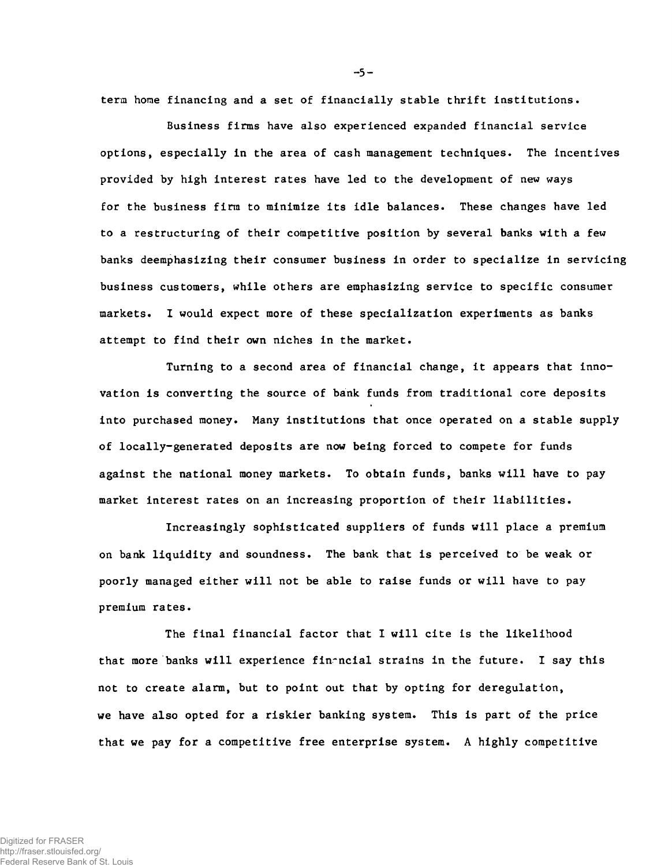**term home financing and a set of financially stable thrift institutions.**

**Business firms have also experienced expanded financial service options, especially in the area of cash management techniques. The incentives provided by high interest rates have led to the development of new ways for the business firm to minimize its idle balances. These changes have led to a restructuring of their competitive position by several banks with a few banks deemphasizing their consumer business in order to specialize in servicing business customers, while others are emphasizing service to specific consumer markets. I would expect more of these specialization experiments as banks attempt to find their own niches in the market.**

**Turning to a second area of financial change, it appears that innovation is converting the source of bank funds from traditional core deposits into purchased money. Many institutions that once operated on a stable supply of locally-generated deposits are now being forced to compete for funds against the national money markets. To obtain funds, banks will have to pay market interest rates on an increasing proportion of their liabilities.**

**Increasingly sophisticated suppliers of funds will place a premium on bank liquidity and soundness. The bank that is perceived to be weak or poorly managed either will not be able to raise funds or will have to pay premium rates.**

**The final financial factor that I will cite is the likelihood** that more banks will experience financial strains in the future. I say this **not to create alarm, but to point out that by opting for deregulation, we have also opted for a riskier banking system. This is part of the price that we pay for a competitive free enterprise system. A highly competitive**

**-** 5 **-**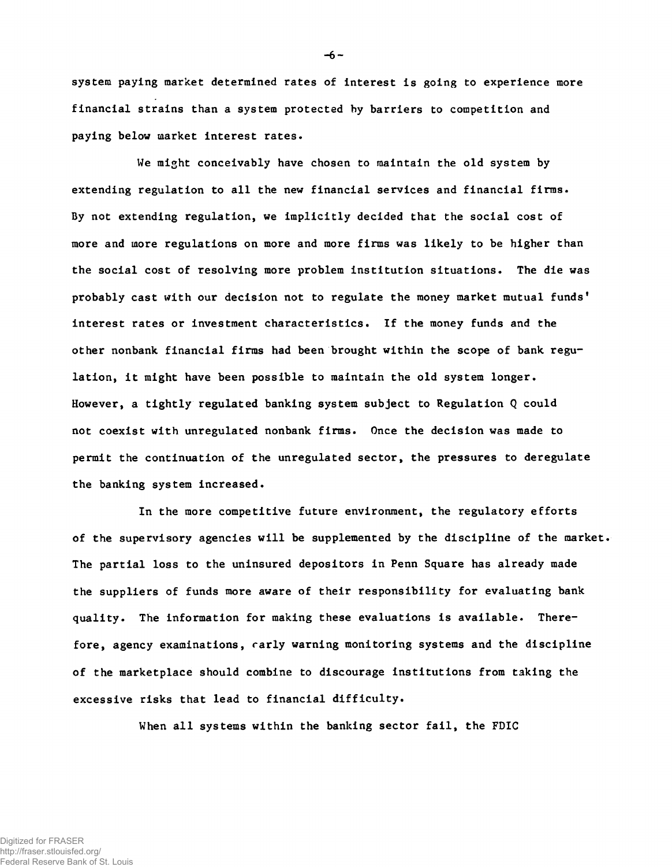**system paying market determined rates of interest is going to experience more financial strains than a system protected by barriers to competition and paying below market interest rates.**

**We might conceivably have chosen to maintain the old system by extending regulation to all the new financial services and financial firms. By not extending regulation, we implicitly decided that the social cost of more and more regulations on more and more firms was likely to be higher than the social cost of resolving more problem institution situations. The die was probably cast with our decision not to regulate the money market mutual funds' interest rates or investment characteristics. If the money funds and the other nonbank financial firms had been brought within the scope of bank regulation, it might have been possible to maintain the old system longer. However, a tightly regulated banking system subject to Regulation Q could not coexist with unregulated nonbank firms. Once the decision was made to permit the continuation of the unregulated sector, the pressures to deregulate the banking system increased.**

**In the more competitive future environment, the regulatory efforts of the supervisory agencies will be supplemented by the discipline of the market. The partial loss to the uninsured depositors in Penn Square has already made the suppliers of funds more aware of their responsibility for evaluating bank quality. The information for making these evaluations is available. Therefore, agency examinations, rarly warning monitoring systems and the discipline of the marketplace should combine to discourage institutions from taking the excessive risks that lead to financial difficulty.**

**When all systems within the banking sector fail, the FDIC**

**-6**<sup>~</sup>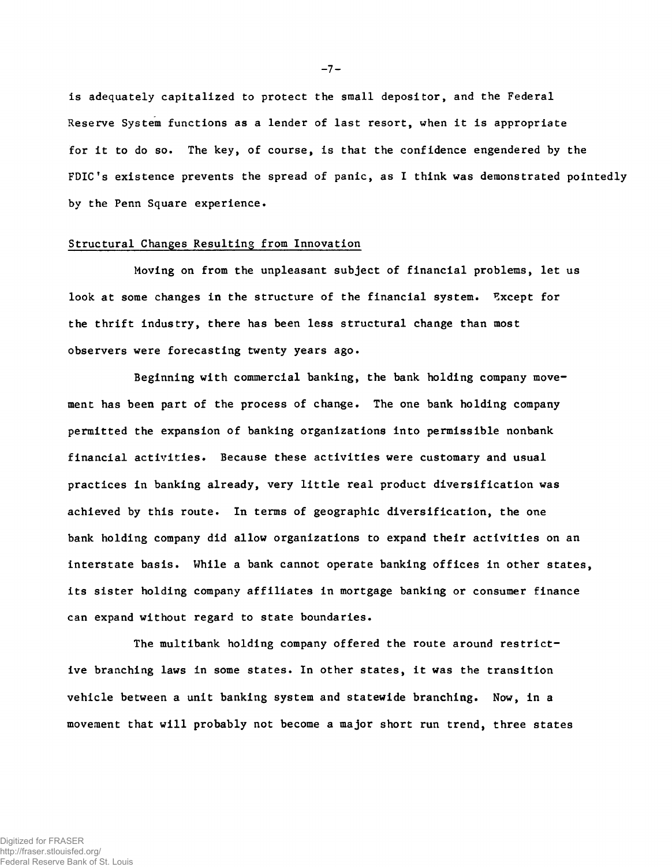**is adequately capitalized to protect the small depositor, and the Federal Reserve System functions as a lender of last resort, when it is appropriate for it to do so. The key, of course, is that the confidence engendered by the FDIC's existence prevents the spread of panic, as I think was demonstrated pointedly by the Penn Square experience.**

### **Structural Changes Resulting from Innovation**

**Moving on from the unpleasant subject of financial problems, let us look at some changes in the structure of the financial system. Except for the thrift industry, there has been less structural change than most observers were forecasting twenty years ago.**

**Beginning with commercial banking, the bank holding company movement has been part of the process of change. The one bank holding company permitted the expansion of banking organizations into permissible nonbank financial activities. Because these activities were customary and usual practices in banking already, very little real product diversification was achieved by this route. In terms of geographic diversification, the one bank holding company did allow organizations to expand their activities on an interstate basis. While a bank cannot operate banking offices in other states, its sister holding company affiliates in mortgage banking or consumer finance can expand without regard to state boundaries.**

**The multibank holding company offered the route around restrictive branching laws in some states. In other states, it was the transition vehicle between a unit banking system and statewide branching. Now, in a movement that will probably not become a major short run trend, three states**

 $-7 -$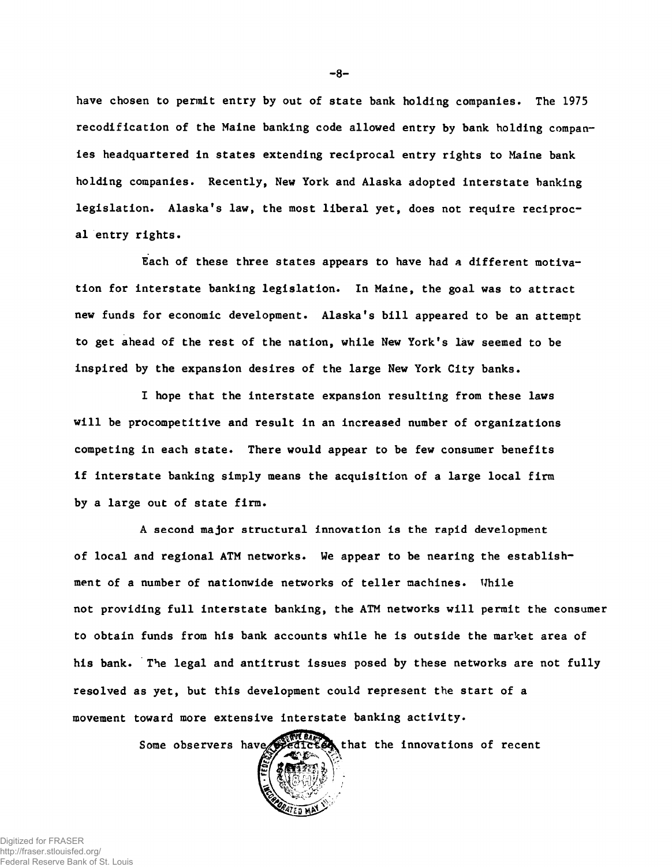**have chosen to permit entry by out of state bank holding companies. The 1975 recodification of the Maine banking code allowed entry by bank holding companies headquartered in states extending reciprocal entry rights to Maine bank holding companies. Recently, New York and Alaska adopted interstate banking legislation. Alaska's law, the most liberal yet, does not require reciprocal entry rights.**

**Each of these three states appears to have had a different motivation for interstate banking legislation. In Maine, the goal was to attract new funds for economic development. Alaska's bill appeared to be an attempt to get ahead of the rest of the nation, while New York's law seemed to be inspired by the expansion desires of the large New York City banks.**

**I hope that the interstate expansion resulting from these laws will be procompetitive and result in an increased number of organizations competing in each state. There would appear to be few consumer benefits if interstate banking simply means the acquisition of a large local firm by a large out of state firm.**

**A second major structural innovation is the rapid development of local and regional ATM networks. We appear to be nearing the establishment of a number of nationwide networks of teller machines. While not providing full interstate banking, the ATM networks will permit the consumer to obtain funds from his bank accounts while he is outside the market area of his bank. The legal and antitrust issues posed by these networks are not fully resolved as yet, but this development could represent the start of a movement toward more extensive interstate banking activity.**

Some observers have **that that the innovations of recent** 



 $-8-$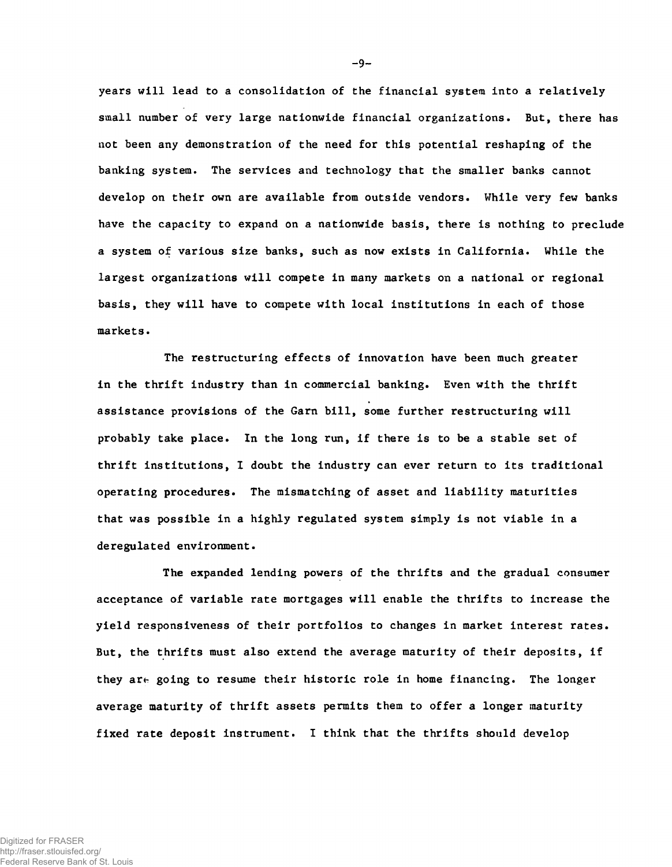**years will lead to a consolidation of the financial system into a relatively small number of very large nationwide financial organizations. But, there has not been any demonstration of the need for this potential reshaping of the banking system. The services and technology that the smaller banks cannot develop on their own are available from outside vendors. While very few banks have the capacity to expand on a nationwide basis, there is nothing to preclude a system of various size banks, such as now exists in California. While the largest organizations will compete in many markets on a national or regional basis, they will have to compete with local institutions in each of those markets.**

**The restructuring effects of innovation have been much greater in the thrift industry than in commercial banking. Even with the thrift assistance provisions of the Garn bill, some further restructuring will probably take place. In the long nan, if there is to be a stable set of thrift institutions, I doubt the industry can ever return to its traditional operating procedures. The mismatching of asset and liability maturities that was possible in a highly regulated system simply is not viable in a deregulated environment.**

**The expanded lending powers of the thrifts and the gradual consumer acceptance of variable rate mortgages will enable the thrifts to increase the yield responsiveness of their portfolios to changes in market interest rates. But, the thrifts must also extend the average maturity of their deposits, if they are going to resume their historic role in home financing. The longer average maturity of thrift assets permits them to offer a longer maturity fixed rate deposit instrument. I think that the thrifts should develop**

-9-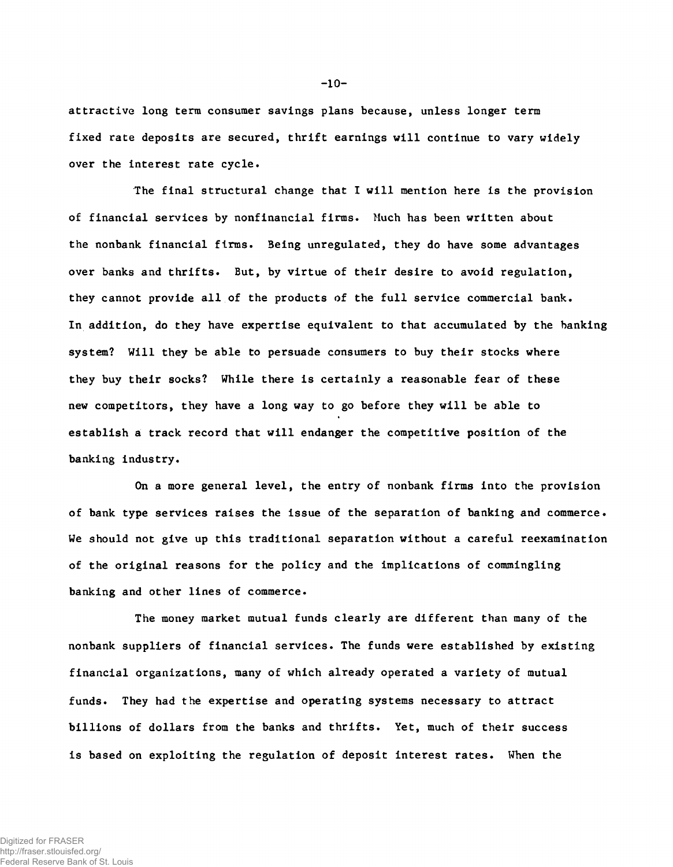**attractive long term consumer savings plans because, unless longer term fixed rate deposits are secured, thrift earnings will continue to vary widely over the interest rate cycle.**

**The final structural change that I will mention here is the provision of financial services by nonfinancial firms. Much has been written about the nonbank financial firms. 3eing unregulated, they do have some advantages over banks and thrifts. But, by virtue of their desire to avoid regulation, they cannot provide all of the products of the full service commercial bank. In addition, do they have expertise equivalent to that accumulated by the banking system? Will they be able to persuade consumers to buy their stocks where they buy their socks? While there is certainly a reasonable fear of these new competitors, they have a long way to go before they will be able to establish a track record that will endanger the competitive position of the banking industry.**

**On a more general level, the entry of nonbank firms into the provision of bank type services raises the issue of the separation of banking and commerce. We should not give up this traditional separation without a careful reexamination of the original reasons for the policy and the implications of commingling banking and other lines of commerce.**

**The money market mutual funds clearly are different than many of the nonbank suppliers of financial services. The funds were established by existing financial organizations, many of which already operated a variety of mutual funds. They had the expertise and operating systems necessary to attract billions of dollars from the banks and thrifts. Yet, much of their success is based on exploiting the regulation of deposit interest rates. When the**

**-10-**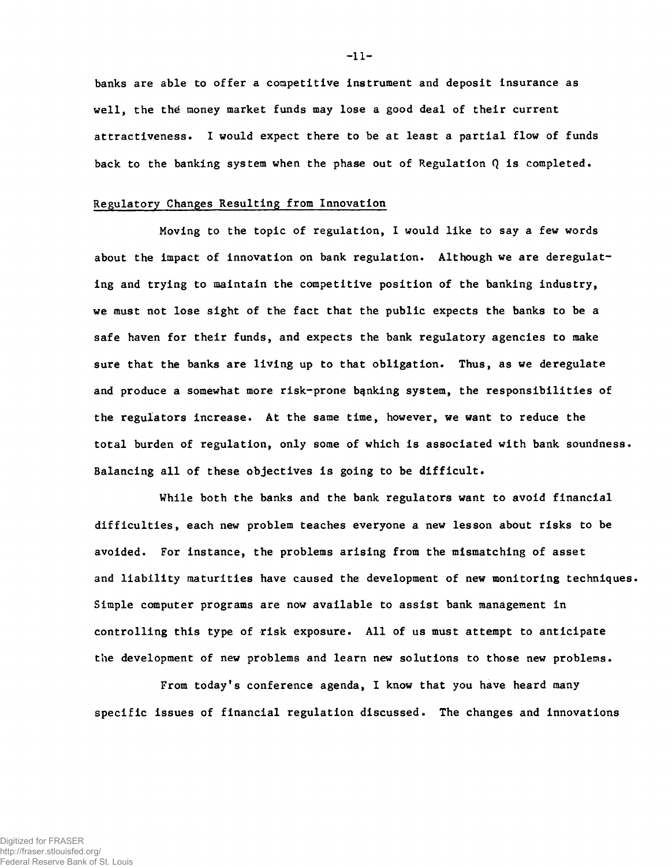**banks are able to offer a competitive instrument and deposit insurance as well, the thé money market funds may lose a good deal of their current attractiveness. I would expect there to be at least a partial flow of funds back to the banking system when the phase out of Regulation Q is completed.**

### **Regulatory Changes Resulting from Innovation**

**Moving to the topic of regulation, I would like to say a few words about the impact of innovation on bank regulation. Although we are deregulating and trying to maintain the competitive position of the banking industry, we must not lose sight of the fact that the public expects the banks to be a safe haven for their funds, and expects the bank regulatory agencies to make sure that the banks are living up to that obligation. Thus, as we deregulate and produce a somewhat more risk-prone banking system, the responsibilities of the regulators increase. At the same time, however, we want to reduce the total burden of regulation, only some of which is associated with bank soundness. Balancing all of these objectives is going to be difficult.**

**While both the banks and the bank regulators want to avoid financial difficulties, each new problem teaches everyone a new lesson about risks to be avoided. For instance, the problems arising from the mismatching of asset and liability maturities have caused the development of new monitoring techniques. Simple computer programs are now available to assist bank management in controlling this type of risk exposure. All of us must attempt to anticipate the development of new problems and learn new solutions to those new problems.**

**From today's conference agenda, I know that you have heard many specific issues of financial regulation discussed. The changes and innovations**

**- 11-**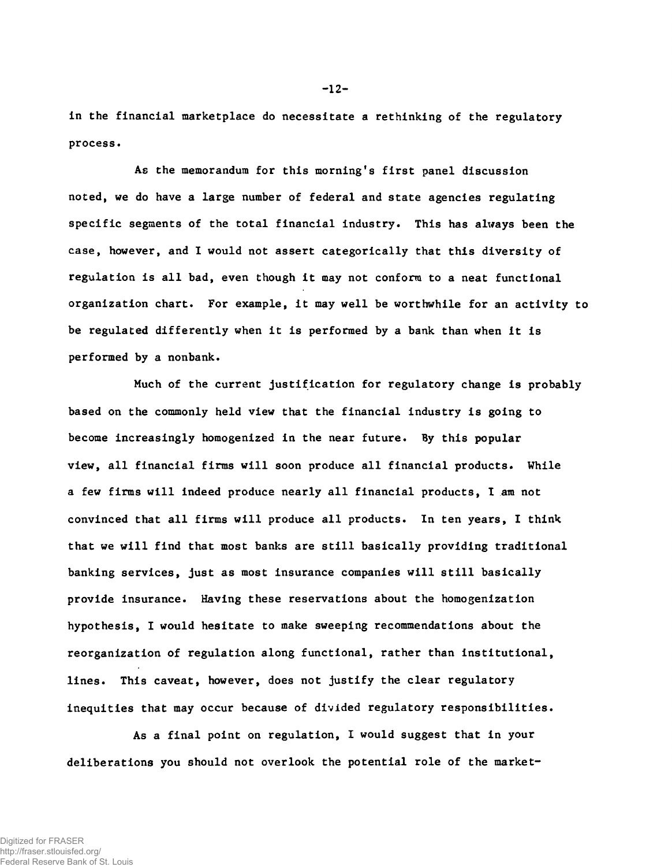**in the financial marketplace do necessitate a rethinking of the regulatory process.**

**As the memorandum for this morning's first panel discussion noted, we do have a large number of federal and state agencies regulating specific segments of the total financial industry. This has always been the case, however, and I would not assert categorically that this diversity of regulation is all bad, even though it may not conform to a neat functional organization chart. For example, it may well be worthwhile for an activity to be regulated differently when it is performed by a bank than when it is performed by a nonbank.**

**Much of the current justification for regulatory change is probably based on the commonly held view that the financial industry is going to become increasingly homogenized in the near future. By this popular view, all financial firms will soon produce all financial products. While a few firms will indeed produce nearly all financial products, I am not convinced that all firms will produce all products. In ten years, I think that we will find that most banks are still basically providing traditional banking services, just as most insurance companies will still basically provide insurance. Having these reservations about the homogenization hypothesis, I would hesitate to make sweeping recommendations about the reorganization of regulation along functional, rather than institutional, lines. This caveat, however, does not justify the clear regulatory inequities that may occur because of divided regulatory responsibilities.**

**As a final point on regulation, I would suggest that in your deliberations you should not overlook the potential role of the market-**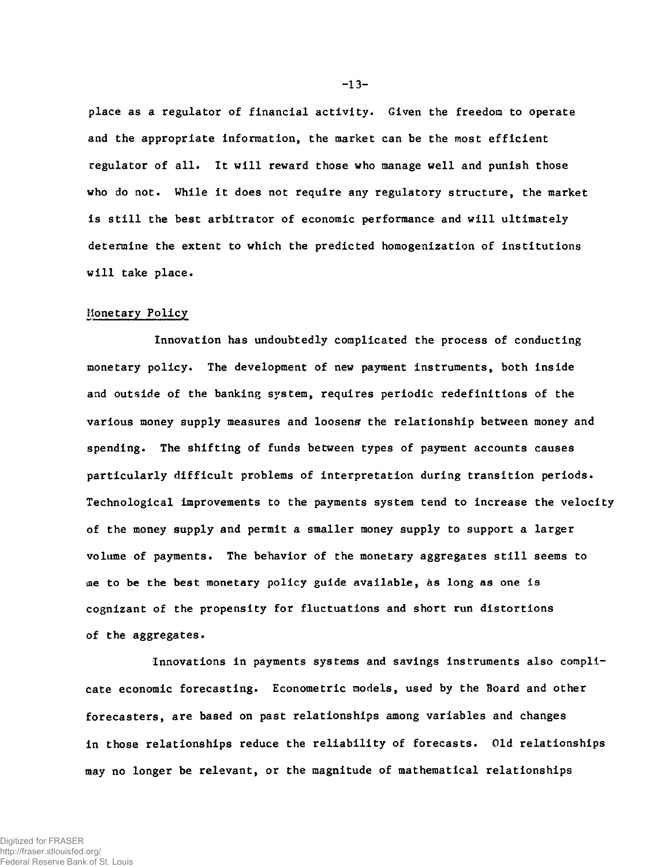**place as a regulator of financial activity. Given the freedom to operate and the appropriate information, the market can be the most efficient regulator of all. It will reward those who manage well and punish those who do not. While it does not require any regulatory structure, the market is still the best arbitrator of economic performance and will ultimately determine the extent to which the predicted homogenization of institutions will take place.**

# **Monetary Policy**

**Innovation has undoubtedly complicated the process of conducting monetary policy. The development of new payment instruments, both inside and outside of the banking system, requires periodic redefinitions of the various money supply measures and loosen? the relationship between money and spending. The shifting of funds between types of payment accounts causes particularly difficult problems of interpretation during transition periods. Technological improvements to the payments system tend to increase the velocity of the money supply and permit a smaller money supply to support a larger volume of payments. The behavior of the monetary aggregates still seems to me to be the best monetary policy guide available, as long as one is cognizant of the propensity for fluctuations and short run distortions of the aggregates.**

**Innovations in payments systems and savings instruments also complicate economic forecasting. Econometric models, used by the Board and other forecasters, are based on past relationships among variables and changes in those relationships reduce the reliability of forecasts. Old relationships may no longer be relevant, or the magnitude of mathematical relationships**

**-13-**